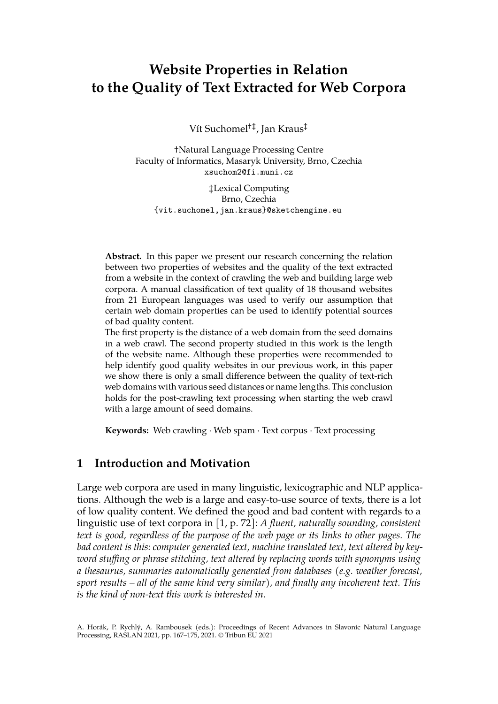# **Website Properties in Relation to the Quality of Text Extracted for Web Corpora**

Vít Suchomel†‡ , Jan Kraus‡

†Natural Language Processing Centre Faculty of Informatics, Masaryk University, Brno, Czechia xsuchom2@fi.muni.cz

‡Lexical Computing Brno, Czechia {vit.suchomel,jan.kraus}@sketchengine.eu

**Abstract.** In this paper we present our research concerning the relation between two properties of websites and the quality of the text extracted from a website in the context of crawling the web and building large web corpora. A manual classification of text quality of 18 thousand websites from 21 European languages was used to verify our assumption that certain web domain properties can be used to identify potential sources of bad quality content.

The first property is the distance of a web domain from the seed domains in a web crawl. The second property studied in this work is the length of the website name. Although these properties were recommended to help identify good quality websites in our previous work, in this paper we show there is only a small difference between the quality of text-rich web domains with various seed distances or name lengths. This conclusion holds for the post-crawling text processing when starting the web crawl with a large amount of seed domains.

**Keywords:** Web crawling · Web spam · Text corpus · Text processing

# **1 Introduction and Motivation**

Large web corpora are used in many linguistic, lexicographic and NLP applications. Although the web is a large and easy-to-use source of texts, there is a lot of low quality content. We defined the good and bad content with regards to a linguistic use of text corpora in [1, p. 72]: *A fluent, naturally sounding, consistent text is good, regardless of the purpose of the web page or its links to other pages. The bad content is this: computer generated text, machine translated text, text altered by keyword stuffing or phrase stitching, text altered by replacing words with synonyms using a thesaurus, summaries automatically generated from databases (e.g. weather forecast, sport results – all of the same kind very similar), and finally any incoherent text. This is the kind of non-text this work is interested in.*

A. Horák, P. Rychlý, A. Rambousek (eds.): Proceedings of Recent Advances in Slavonic Natural Language Processing, RASLAN 2021, pp. 167–175, 2021. © Tribun EU 2021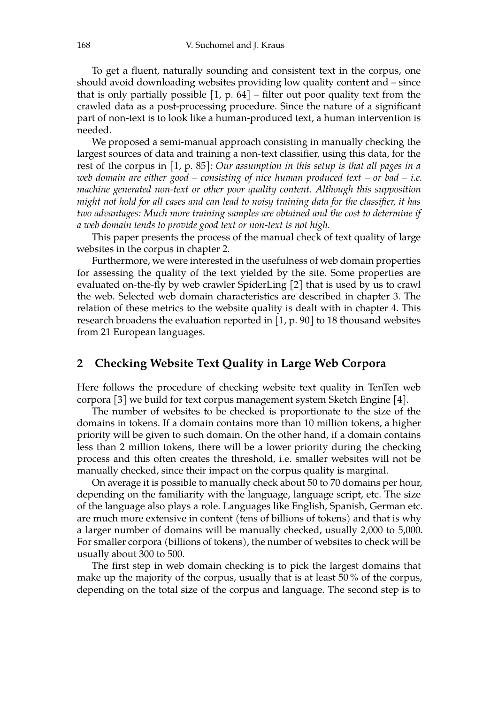To get a fluent, naturally sounding and consistent text in the corpus, one should avoid downloading websites providing low quality content and – since that is only partially possible  $[1, p. 64]$  – filter out poor quality text from the crawled data as a post-processing procedure. Since the nature of a significant part of non-text is to look like a human-produced text, a human intervention is needed.

We proposed a semi-manual approach consisting in manually checking the largest sources of data and training a non-text classifier, using this data, for the rest of the corpus in [1, p. 85]: *Our assumption in this setup is that all pages in a web domain are either good – consisting of nice human produced text – or bad – i.e. machine generated non-text or other poor quality content. Although this supposition might not hold for all cases and can lead to noisy training data for the classifier, it has two advantages: Much more training samples are obtained and the cost to determine if a web domain tends to provide good text or non-text is not high.*

This paper presents the process of the manual check of text quality of large websites in the corpus in chapter 2.

Furthermore, we were interested in the usefulness of web domain properties for assessing the quality of the text yielded by the site. Some properties are evaluated on-the-fly by web crawler SpiderLing [2] that is used by us to crawl the web. Selected web domain characteristics are described in chapter 3. The relation of these metrics to the website quality is dealt with in chapter 4. This research broadens the evaluation reported in [1, p. 90] to 18 thousand websites from 21 European languages.

### **2 Checking Website Text Quality in Large Web Corpora**

Here follows the procedure of checking website text quality in TenTen web corpora [3] we build for text corpus management system Sketch Engine [4].

The number of websites to be checked is proportionate to the size of the domains in tokens. If a domain contains more than 10 million tokens, a higher priority will be given to such domain. On the other hand, if a domain contains less than 2 million tokens, there will be a lower priority during the checking process and this often creates the threshold, i.e. smaller websites will not be manually checked, since their impact on the corpus quality is marginal.

On average it is possible to manually check about 50 to 70 domains per hour, depending on the familiarity with the language, language script, etc. The size of the language also plays a role. Languages like English, Spanish, German etc. are much more extensive in content (tens of billions of tokens) and that is why a larger number of domains will be manually checked, usually 2,000 to 5,000. For smaller corpora (billions of tokens), the number of websites to check will be usually about 300 to 500.

The first step in web domain checking is to pick the largest domains that make up the majority of the corpus, usually that is at least 50 % of the corpus, depending on the total size of the corpus and language. The second step is to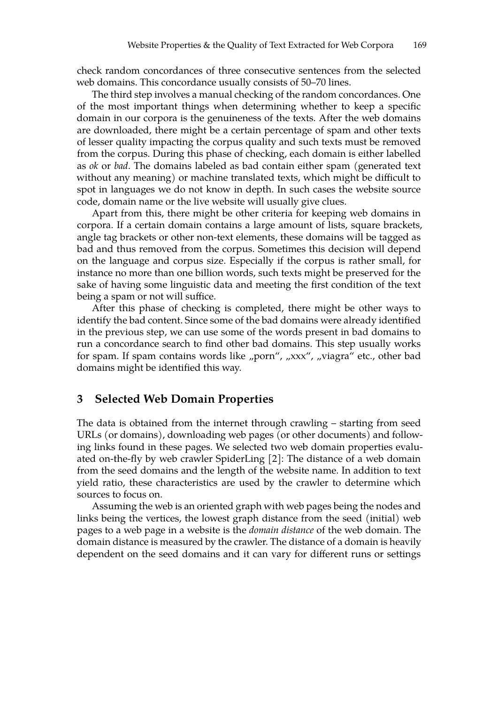check random concordances of three consecutive sentences from the selected web domains. This concordance usually consists of 50–70 lines.

The third step involves a manual checking of the random concordances. One of the most important things when determining whether to keep a specific domain in our corpora is the genuineness of the texts. After the web domains are downloaded, there might be a certain percentage of spam and other texts of lesser quality impacting the corpus quality and such texts must be removed from the corpus. During this phase of checking, each domain is either labelled as *ok* or *bad*. The domains labeled as bad contain either spam (generated text without any meaning) or machine translated texts, which might be difficult to spot in languages we do not know in depth. In such cases the website source code, domain name or the live website will usually give clues.

Apart from this, there might be other criteria for keeping web domains in corpora. If a certain domain contains a large amount of lists, square brackets, angle tag brackets or other non-text elements, these domains will be tagged as bad and thus removed from the corpus. Sometimes this decision will depend on the language and corpus size. Especially if the corpus is rather small, for instance no more than one billion words, such texts might be preserved for the sake of having some linguistic data and meeting the first condition of the text being a spam or not will suffice.

After this phase of checking is completed, there might be other ways to identify the bad content. Since some of the bad domains were already identified in the previous step, we can use some of the words present in bad domains to run a concordance search to find other bad domains. This step usually works for spam. If spam contains words like "porn", "xxx", "viagra" etc., other bad domains might be identified this way.

#### **3 Selected Web Domain Properties**

The data is obtained from the internet through crawling – starting from seed URLs (or domains), downloading web pages (or other documents) and following links found in these pages. We selected two web domain properties evaluated on-the-fly by web crawler SpiderLing [2]: The distance of a web domain from the seed domains and the length of the website name. In addition to text yield ratio, these characteristics are used by the crawler to determine which sources to focus on.

Assuming the web is an oriented graph with web pages being the nodes and links being the vertices, the lowest graph distance from the seed (initial) web pages to a web page in a website is the *domain distance* of the web domain. The domain distance is measured by the crawler. The distance of a domain is heavily dependent on the seed domains and it can vary for different runs or settings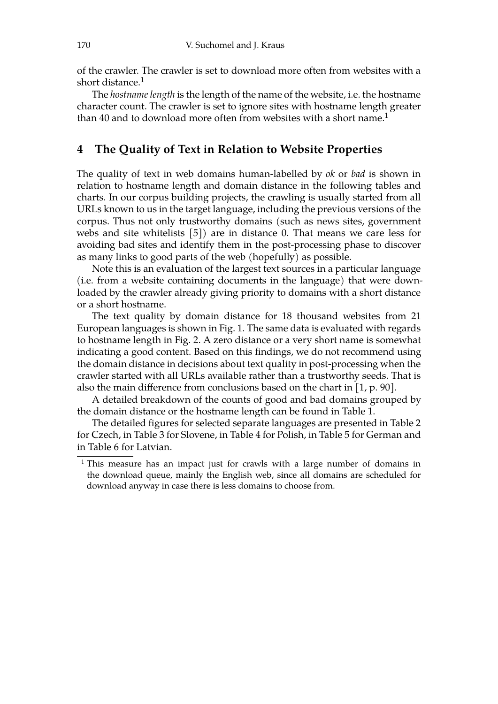of the crawler. The crawler is set to download more often from websites with a short distance.<sup>1</sup>

The *hostname length* is the length of the name of the website, i.e. the hostname character count. The crawler is set to ignore sites with hostname length greater than 40 and to download more often from websites with a short name.<sup>1</sup>

## **4 The Quality of Text in Relation to Website Properties**

The quality of text in web domains human-labelled by *ok* or *bad* is shown in relation to hostname length and domain distance in the following tables and charts. In our corpus building projects, the crawling is usually started from all URLs known to us in the target language, including the previous versions of the corpus. Thus not only trustworthy domains (such as news sites, government webs and site whitelists [5]) are in distance 0. That means we care less for avoiding bad sites and identify them in the post-processing phase to discover as many links to good parts of the web (hopefully) as possible.

Note this is an evaluation of the largest text sources in a particular language (i.e. from a website containing documents in the language) that were downloaded by the crawler already giving priority to domains with a short distance or a short hostname.

The text quality by domain distance for 18 thousand websites from 21 European languages is shown in Fig. 1. The same data is evaluated with regards to hostname length in Fig. 2. A zero distance or a very short name is somewhat indicating a good content. Based on this findings, we do not recommend using the domain distance in decisions about text quality in post-processing when the crawler started with all URLs available rather than a trustworthy seeds. That is also the main difference from conclusions based on the chart in [1, p. 90].

A detailed breakdown of the counts of good and bad domains grouped by the domain distance or the hostname length can be found in Table 1.

The detailed figures for selected separate languages are presented in Table 2 for Czech, in Table 3 for Slovene, in Table 4 for Polish, in Table 5 for German and in Table 6 for Latvian.

<sup>&</sup>lt;sup>1</sup> This measure has an impact just for crawls with a large number of domains in the download queue, mainly the English web, since all domains are scheduled for download anyway in case there is less domains to choose from.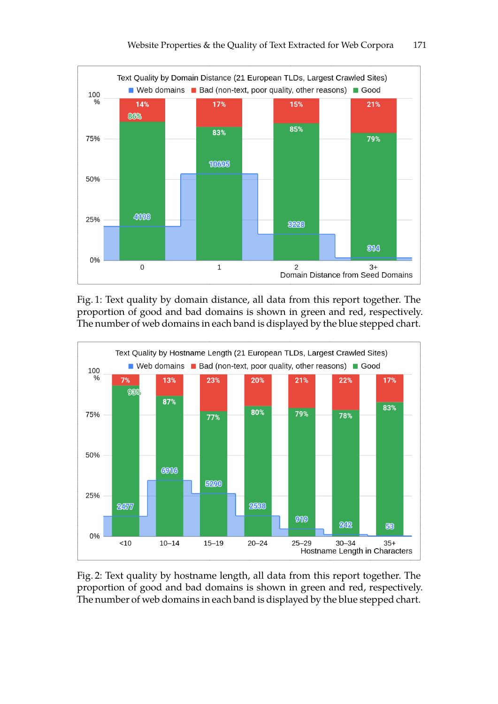

Fig. 1: Text quality by domain distance, all data from this report together. The proportion of good and bad domains is shown in green and red, respectively. The number of web domains in each band is displayed by the blue stepped chart.



Fig. 2: Text quality by hostname length, all data from this report together. The proportion of good and bad domains is shown in green and red, respectively. The number of web domains in each band is displayed by the blue stepped chart.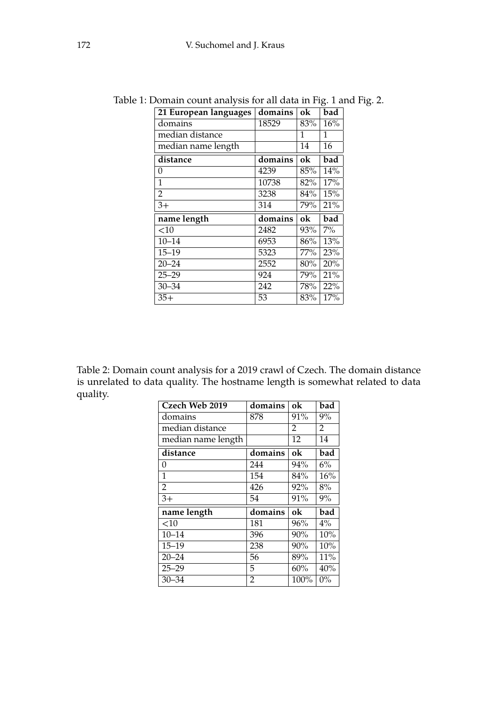| 21 European languages | domains | ok  | bad              |
|-----------------------|---------|-----|------------------|
| domains               | 18529   | 83% | 16%              |
| median distance       |         | 1   | 1                |
| median name length    |         | 14  | 16               |
| distance              | domains | ok  | bad              |
| 0                     | 4239    | 85% | 14%              |
| $\mathbf{1}$          | 10738   | 82% | 17%              |
| $\overline{2}$        | 3238    | 84% | 15%              |
| $3+$                  | 314     | 79% | 21%              |
| name length           | domains | ok  | bad              |
| <10                   | 2482    | 93% | $7\%$            |
| $10 - 14$             | 6953    | 86% | $\overline{1}3%$ |
|                       |         |     |                  |
| $15 - 19$             | 5323    | 77% | 23%              |
| $20 - 24$             | 2552    | 80% | 20%              |
| $25 - 29$             | 924     | 79% | 21%              |
| $30 - 34$             | 242     | 78% | 22%              |

Table 1: Domain count analysis for all data in Fig. 1 and Fig. 2.

Table 2: Domain count analysis for a 2019 crawl of Czech. The domain distance is unrelated to data quality. The hostname length is somewhat related to data quality.

| Czech Web 2019     | domains        | ok   | bad   |
|--------------------|----------------|------|-------|
| domains            | 878            | 91%  | 9%    |
| median distance    |                | 2    | 2     |
| median name length |                | 12   | 14    |
| distance           | domains        | ok   | bad   |
| 0                  | 244            | 94%  | 6%    |
| 1                  | 154            | 84%  | 16%   |
| $\overline{2}$     | 426            | 92%  | 8%    |
| $3+$               | 54             | 91%  | 9%    |
| name length        | domains        | ok   | bad   |
| $<$ 10             | 181            | 96%  | $4\%$ |
| $10 - 14$          | 396            | 90%  | 10%   |
| $15 - 19$          | 238            | 90%  | 10%   |
| $20 - 24$          | 56             | 89%  | 11%   |
| $25 - 29$          | 5              | 60%  | 40%   |
| $30 - 34$          | $\overline{2}$ | 100% | $0\%$ |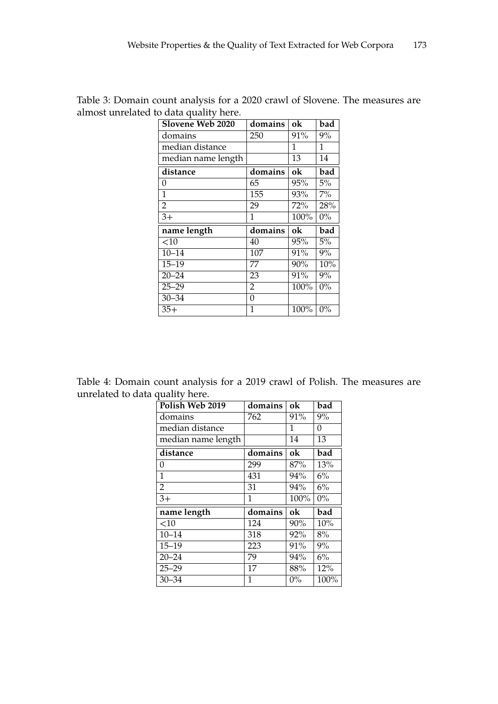| Slovene Web 2020   | domains          | ok   | bad   |
|--------------------|------------------|------|-------|
| domains            | 250              | 91%  | 9%    |
| median distance    |                  | 1    | 1     |
| median name length |                  | 13   | 14    |
| distance           | domains          | ok   | bad   |
| 0                  | 65               | 95%  | 5%    |
| $\overline{1}$     | 155              | 93%  | $7\%$ |
| $\overline{2}$     | 29               | 72%  | 28%   |
| $\overline{3+}$    | 1                | 100% | $0\%$ |
| name length        | domains          | ok   | bad   |
| $<$ 10             | 40               | 95%  | 5%    |
| $10 - 14$          | 107              | 91%  | $9\%$ |
| $15 - 19$          | 77               | 90%  | 10%   |
|                    |                  | 91%  | 9%    |
| $20 - 24$          | 23               |      |       |
| $25 - 29$          | $\overline{2}$   | 100% | $0\%$ |
| $30 - 34$          | $\boldsymbol{0}$ |      |       |

Table 3: Domain count analysis for a 2020 crawl of Slovene. The measures are almost unrelated to data quality here.

Table 4: Domain count analysis for a 2019 crawl of Polish. The measures are unrelated to data quality here.

| Polish Web 2019    | domains         | ok    | bad   |
|--------------------|-----------------|-------|-------|
| domains            | 762             | 91%   | 9%    |
| median distance    |                 | 1     | 0     |
| median name length |                 | 14    | 13    |
| distance           | domains         | ok    | bad   |
| 0                  | 299             | 87%   | 13%   |
| $\mathbf{1}$       | 431             | 94%   | $6\%$ |
| $\overline{2}$     | 31              | 94%   | 6%    |
| $3+$               | $\mathbf{1}$    | 100%  | $0\%$ |
| name length        | domains         | ok    | bad   |
| $<$ 10             | 124             | 90%   | 10%   |
| $10 - 14$          | 318             | 92%   | 8%    |
| $15 - 19$          | 223             | 91%   | 9%    |
| $20 - 24$          | $\overline{79}$ | 94%   | 6%    |
| $25 - 29$          | 17              | 88%   | 12%   |
| $30 - 34$          | 1               | $0\%$ | 100%  |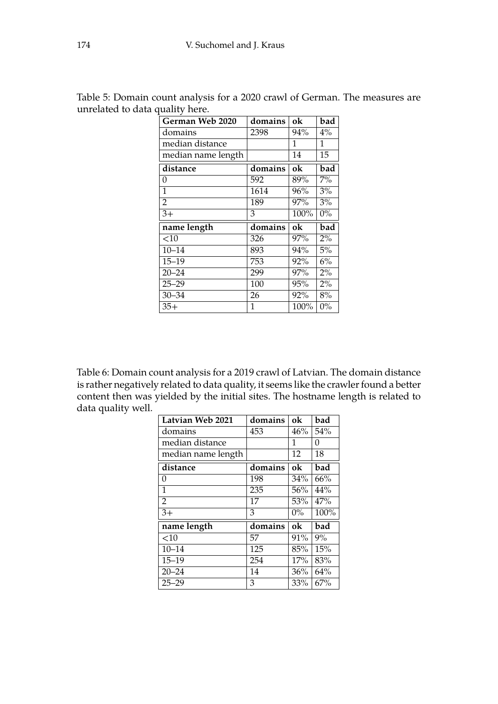| German Web 2020    | domains | ok   | bad   |
|--------------------|---------|------|-------|
| domains            | 2398    | 94%  | $4\%$ |
| median distance    |         | 1    | 1     |
| median name length |         | 14   | 15    |
| distance           | domains | ok   | bad   |
| 0                  | 592     | 89%  | $7\%$ |
| $\overline{1}$     | 1614    | 96%  | 3%    |
| $\overline{2}$     | 189     | 97%  | 3%    |
| $3+$               | 3       | 100% | $0\%$ |
| name length        | domains | ok   | bad   |
| $<$ 10             | 326     | 97%  | $2\%$ |
| $10 - 14$          | 893     | 94%  | 5%    |
| $15 - 19$          | 753     | 92%  | 6%    |
|                    |         |      |       |
| $20 - 24$          | 299     | 97%  | 2%    |
| $25 - 29$          | 100     | 95%  | 2%    |
| $30 - 34$          | 26      | 92%  | 8%    |

Table 5: Domain count analysis for a 2020 crawl of German. The measures are unrelated to data quality here.

Table 6: Domain count analysis for a 2019 crawl of Latvian. The domain distance is rather negatively related to data quality, it seems like the crawler found a better content then was yielded by the initial sites. The hostname length is related to data quality well.

| Latvian Web 2021   | domains | ok    | bad  |
|--------------------|---------|-------|------|
| domains            | 453     | 46%   | 54%  |
| median distance    |         | 1     | 0    |
| median name length |         | 12    | 18   |
| distance           | domains | ok    | bad  |
| 0                  | 198     | 34%   | 66%  |
| 1                  | 235     | 56%   | 44%  |
| 2                  | 17      | 53%   | 47%  |
| $3+$               | 3       | $0\%$ | 100% |
| name length        | domains | ok    | bad  |
| $<$ 10             | 57      | 91%   | 9%   |
| $10 - 14$          | 125     | 85%   | 15%  |
| $15 - 19$          | 254     | 17%   | 83%  |
| $20 - 24$          | 14      | 36%   | 64%  |
| $25 - 29$          | 3       | 33%   | 67%  |